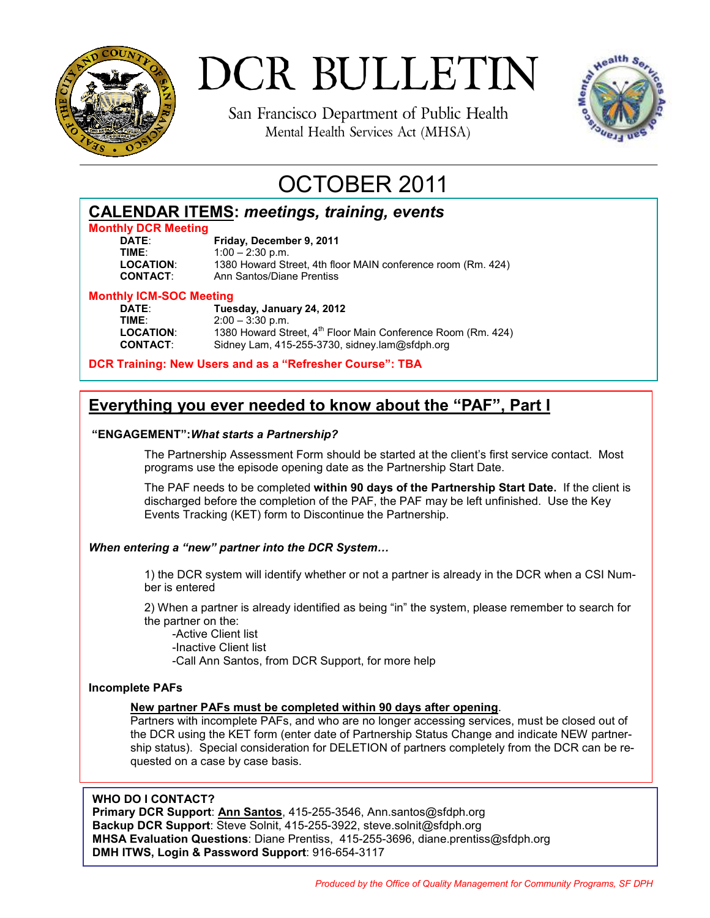

# DCR BULLETIN

San Francisco Department of Public Health Mental Health Services Act (MHSA)



# OCTOBER 2011

| <b>CALENDAR ITEMS: meetings, training, events</b> |  |  |
|---------------------------------------------------|--|--|
| Marchine BOB Marchine                             |  |  |

## **Monthly DCR Meeting**

**Friday, December 9, 2011 TIME:** 1:00 – 2:30 p.m.<br>**LOCATION:** 1380 Howard Str **LOCATION**: 1380 Howard Street, 4th floor MAIN conference room (Rm. 424) **Ann Santos/Diane Prentiss** 

# **Monthly ICM-SOC Meeting**

**DATE**: **Tuesday, January 24, 2012 TIME:** 2:00 – 3:30 p.m.<br>**LOCATION:** 1380 Howard Str LOCATION: 1380 Howard Street, 4<sup>th</sup> Floor Main Conference Room (Rm. 424)<br>**CONTACT:** Sidney Lam, 415-255-3730, sidney.lam@sfdph.org Sidney Lam, 415-255-3730, sidney.lam@sfdph.org

**DCR Training: New Users and as a "Refresher Course": TBA** 

## **Everything you ever needed to know about the "PAF", Part I**

### **"ENGAGEMENT":***What starts a Partnership?*

The Partnership Assessment Form should be started at the client's first service contact. Most programs use the episode opening date as the Partnership Start Date.

 The PAF needs to be completed **within 90 days of the Partnership Start Date.** If the client is discharged before the completion of the PAF, the PAF may be left unfinished. Use the Key Events Tracking (KET) form to Discontinue the Partnership.

### *When entering a "new" partner into the DCR System…*

1) the DCR system will identify whether or not a partner is already in the DCR when a CSI Number is entered

 2) When a partner is already identified as being "in" the system, please remember to search for the partner on the:

 -Active Client list -Inactive Client list -Call Ann Santos, from DCR Support, for more help

#### **Incomplete PAFs**

### **New partner PAFs must be completed within 90 days after opening**.

Partners with incomplete PAFs, and who are no longer accessing services, must be closed out of the DCR using the KET form (enter date of Partnership Status Change and indicate NEW partnership status). Special consideration for DELETION of partners completely from the DCR can be requested on a case by case basis.

#### **WHO DO I CONTACT?**

**Primary DCR Support**: **Ann Santos**, 415-255-3546, Ann.santos@sfdph.org **Backup DCR Support**: Steve Solnit, 415-255-3922, steve.solnit@sfdph.org **MHSA Evaluation Questions**: Diane Prentiss, 415-255-3696, diane.prentiss@sfdph.org **DMH ITWS, Login & Password Support**: 916-654-3117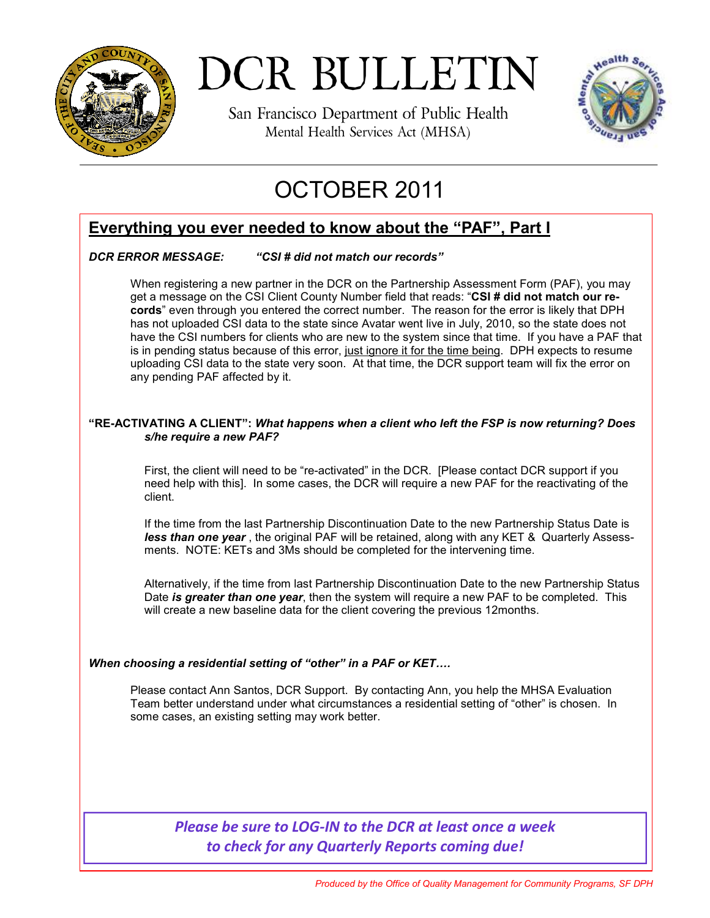

DCR BULLETIN

San Francisco Department of Public Health Mental Health Services Act (MHSA)



# OCTOBER 2011

### **Everything you ever needed to know about the "PAF", Part I**

### *DCR ERROR MESSAGE: "CSI # did not match our records"*

When registering a new partner in the DCR on the Partnership Assessment Form (PAF), you may get a message on the CSI Client County Number field that reads: "**CSI # did not match our records**" even through you entered the correct number. The reason for the error is likely that DPH has not uploaded CSI data to the state since Avatar went live in July, 2010, so the state does not have the CSI numbers for clients who are new to the system since that time. If you have a PAF that is in pending status because of this error, just ignore it for the time being. DPH expects to resume uploading CSI data to the state very soon. At that time, the DCR support team will fix the error on any pending PAF affected by it.

#### **"RE-ACTIVATING A CLIENT":** *What happens when a client who left the FSP is now returning? Does s/he require a new PAF?*

First, the client will need to be "re-activated" in the DCR. [Please contact DCR support if you need help with this]. In some cases, the DCR will require a new PAF for the reactivating of the client.

 If the time from the last Partnership Discontinuation Date to the new Partnership Status Date is *less than one year* , the original PAF will be retained, along with any KET & Quarterly Assessments. NOTE: KETs and 3Ms should be completed for the intervening time.

 Alternatively, if the time from last Partnership Discontinuation Date to the new Partnership Status Date *is greater than one year*, then the system will require a new PAF to be completed. This will create a new baseline data for the client covering the previous 12months.

### *When choosing a residential setting of "other" in a PAF or KET….*

 Please contact Ann Santos, DCR Support. By contacting Ann, you help the MHSA Evaluation Team better understand under what circumstances a residential setting of "other" is chosen. In some cases, an existing setting may work better.

### *Please be sure to LOG-IN to the DCR at least once a week to check for any Quarterly Reports coming due!*